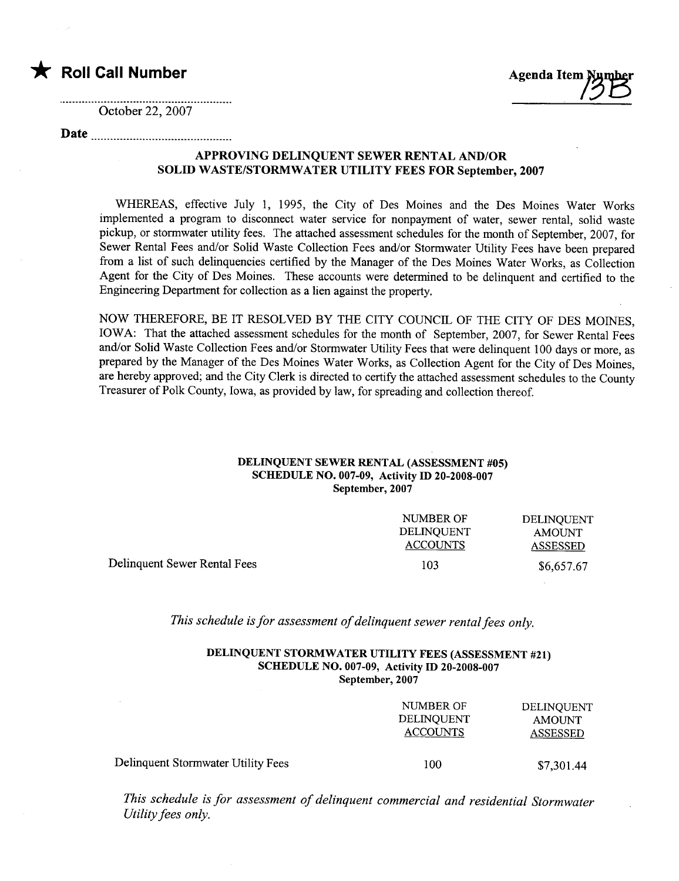

October 22, 2007

Date

### APPROVING DELINQUENT SEWER RENTAL AND/OR SOLID WASTE/STORMWATER UTILITY FEES FOR September, 2007

WHEREAS, effective July 1, 1995, the City of Des Moines and the Des Moines Water Works implemented a program to disconnect water service for nonpayment of water, sewer rental, solid waste pickup, or stormwater utilty fees. The attached assessment schedules for the month of September, 2007, for Sewer Rental Fees and/or Solid Waste Collection Fees and/or Stormwater Utility Fees have been prepared from a list of such delinquencies certified by the Manager of the Des Moines Water Works, as Collection Agent for the City of Des Moines. These accounts were determined to be delinquent and certified to the Engineering Department for collection as a lien against the propert.

NOW THEREFORE, BE IT RESOLVED BY THE CITY COUNCIL OF THE CITY OF DES MOINES, IOWA: That the attached assessment schedules for the month of September, 2007, for Sewer Rental Fees and/or Solid Waste Collection Fees and/or Stormwater Utilty Fees that were delinquent 100 days or more, as prepared by the Manager of the Des Moines Water Works, as Collection Agent for the City of Des Moines, are hereby approved; and the City Clerk is directed to certify the attached assessment schedules to the County Treasurer of Polk County, Iowa, as provided by law, for spreading and collection thereof.

### DELINQUENT SEWER RENTAL (ASSESSMENT #05) SCHEDULE NO. 007-09, Activity ID 20-2008-007 September, 2007

|                              | NUMBER OF<br><b>DELINOUENT</b><br><b>ACCOUNTS</b> | <b>DELINOUENT</b><br><b>AMOUNT</b><br><b>ASSESSED</b> |
|------------------------------|---------------------------------------------------|-------------------------------------------------------|
| Delinquent Sewer Rental Fees | 103                                               | \$6,657.67                                            |

This schedule is for assessment of delinquent sewer rental fees only.

#### DELINQUENT STORMWATER UTILITY FEES (ASSESSMENT #21) SCHEDULE NO. 007-09, Activity ID 20-2008-007 September, 2007

|                                    | NUMBER OF<br><b>DELINOUENT</b><br><b>ACCOUNTS</b> | DELINQUENT<br><b>AMOUNT</b><br>ASSESSED |
|------------------------------------|---------------------------------------------------|-----------------------------------------|
| Delinquent Stormwater Utility Fees | 100                                               | \$7,301.44                              |

This schedule is for assessment of delinquent commercial and residential Stormwater Utility fees only.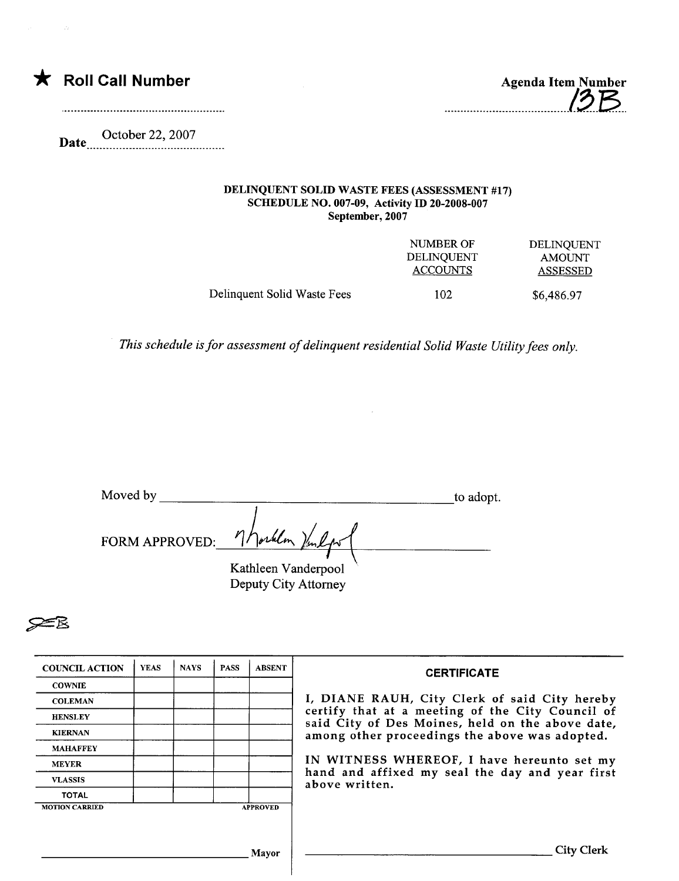



Date October 22, 2007

### DELINQUENT SOLID WASTE FEES (ASSESSMENT #17) SCHEDULE NO. 007-09, Activity ID 20-2008-007 September, 2007

| NUMBER OF       | <b>DELINQUENT</b> |
|-----------------|-------------------|
| DELINOUENT      | <b>AMOUNT</b>     |
| <b>ACCOUNTS</b> | <b>ASSESSED</b>   |
| 102             | \$6,486.97        |
|                 |                   |

This schedule is for assessment of delinquent residential Solid Waste Utility fees only.

 $\bar{z}$ 

| Moved by       |                                             | to adopt. |
|----------------|---------------------------------------------|-----------|
| FORM APPROVED: | 7 horbilon Venlant                          |           |
|                | Kathleen Vanderpool<br>Deputy City Attorney |           |

| ₽ <sup>≤</sup> B |  |
|------------------|--|

| <b>COUNCIL ACTION</b> | <b>YEAS</b> | <b>NAYS</b> | <b>PASS</b> | <b>ABSENT</b>   | <b>CERTIFICATE</b>                                                                                   |
|-----------------------|-------------|-------------|-------------|-----------------|------------------------------------------------------------------------------------------------------|
| <b>COWNIE</b>         |             |             |             |                 |                                                                                                      |
| <b>COLEMAN</b>        |             |             |             |                 | I, DIANE RAUH, City Clerk of said City hereby                                                        |
| <b>HENSLEY</b>        |             |             |             |                 | certify that at a meeting of the City Council of<br>said City of Des Moines, held on the above date, |
| <b>KIERNAN</b>        |             |             |             |                 | among other proceedings the above was adopted.                                                       |
| <b>MAHAFFEY</b>       |             |             |             |                 |                                                                                                      |
| <b>MEYER</b>          |             |             |             |                 | IN WITNESS WHEREOF, I have hereunto set my                                                           |
| <b>VLASSIS</b>        |             |             |             |                 | hand and affixed my seal the day and year first<br>above written.                                    |
| <b>TOTAL</b>          |             |             |             |                 |                                                                                                      |
| <b>MOTION CARRIED</b> |             |             |             | <b>APPROVED</b> |                                                                                                      |
|                       |             |             |             |                 |                                                                                                      |
|                       |             |             |             | Mayor           | <b>City Clerk</b>                                                                                    |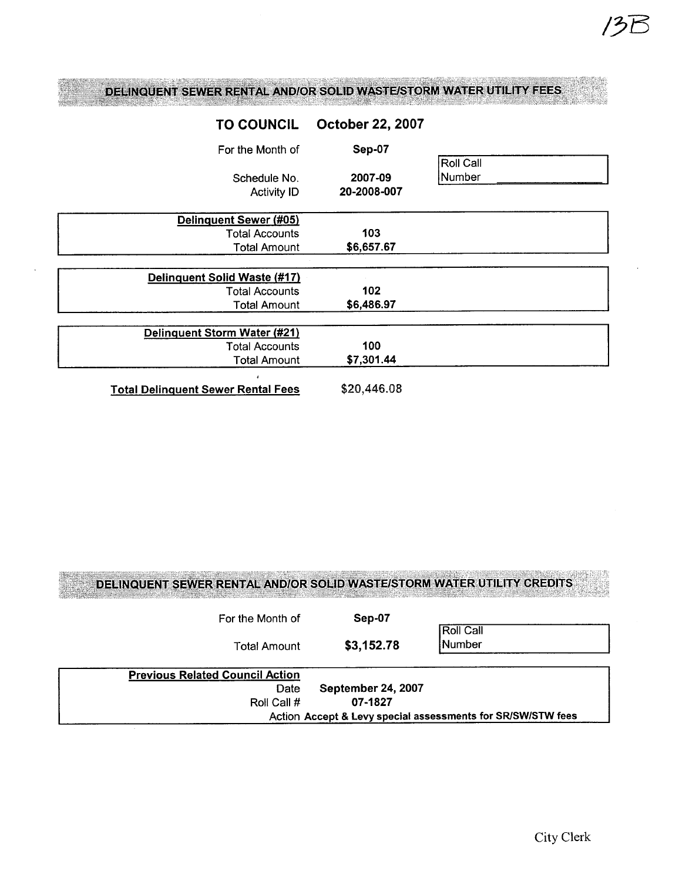## DELINQUENT SEWER RENTAL AND/OR SOLID WASTE/STORM WATER UTILITY FEES

| <b>TO COUNCIL</b>                         | <b>October 22, 2007</b> |           |
|-------------------------------------------|-------------------------|-----------|
| For the Month of                          | Sep-07                  | Roll Call |
| Schedule No.                              | 2007-09                 | Number    |
| <b>Activity ID</b>                        | 20-2008-007             |           |
| Delinquent Sewer (#05)                    |                         |           |
| <b>Total Accounts</b>                     | 103                     |           |
| <b>Total Amount</b>                       | \$6,657.67              |           |
| Delinquent Solid Waste (#17)              |                         |           |
| <b>Total Accounts</b>                     | 102                     |           |
| <b>Total Amount</b>                       | \$6,486.97              |           |
| Delinguent Storm Water (#21)              |                         |           |
| <b>Total Accounts</b>                     | 100                     |           |
| <b>Total Amount</b>                       | \$7,301.44              |           |
| <b>Total Delinquent Sewer Rental Fees</b> | \$20,446.08             |           |

## DELINQUENT SEWER RENTAL AND/OR SOLID WASTE/STORM WATER UTILITY CREDITS

| For the Month of                                            | Sep-07             | <b>Roll Call</b> |
|-------------------------------------------------------------|--------------------|------------------|
| <b>Total Amount</b>                                         | \$3,152.78         | Number           |
| <b>Previous Related Council Action</b>                      |                    |                  |
| Date                                                        | September 24, 2007 |                  |
| Roll Call #                                                 | 07-1827            |                  |
| Action Accept & Levy special assessments for SR/SW/STW fees |                    |                  |